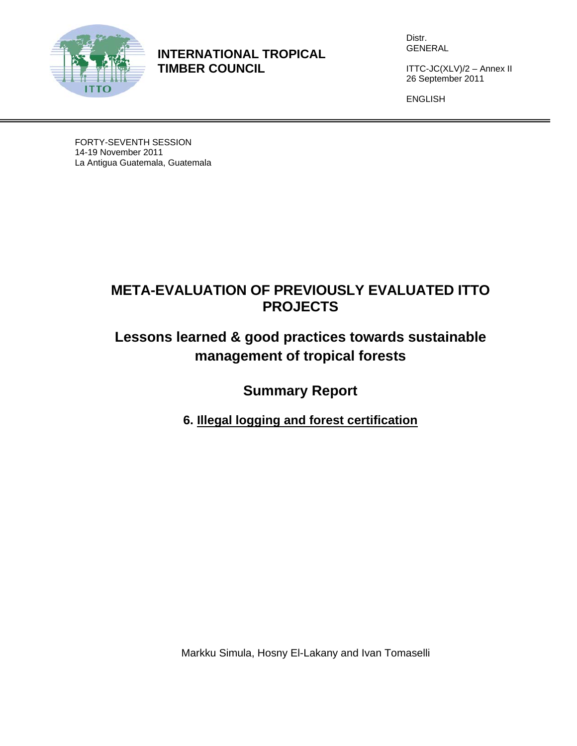

**INTERNATIONAL TROPICAL TIMBER COUNCIL** 

Distr. GENERAL

ITTC-JC(XLV)/2 – Annex II 26 September 2011

ENGLISH

FORTY-SEVENTH SESSION 14-19 November 2011 La Antigua Guatemala, Guatemala

# **META-EVALUATION OF PREVIOUSLY EVALUATED ITTO PROJECTS**

# **Lessons learned & good practices towards sustainable management of tropical forests**

**Summary Report** 

**6. Illegal logging and forest certification** 

Markku Simula, Hosny El-Lakany and Ivan Tomaselli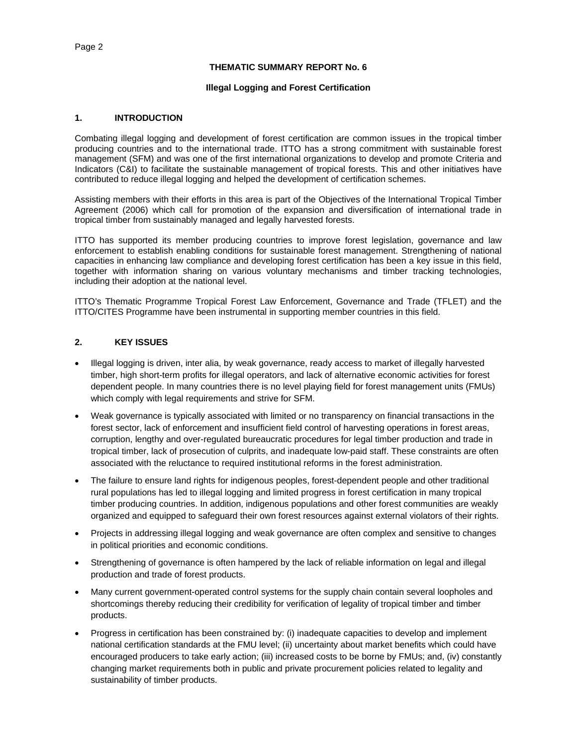#### **THEMATIC SUMMARY REPORT No. 6**

#### **Illegal Logging and Forest Certification**

#### **1. INTRODUCTION**

Combating illegal logging and development of forest certification are common issues in the tropical timber producing countries and to the international trade. ITTO has a strong commitment with sustainable forest management (SFM) and was one of the first international organizations to develop and promote Criteria and Indicators (C&I) to facilitate the sustainable management of tropical forests. This and other initiatives have contributed to reduce illegal logging and helped the development of certification schemes.

Assisting members with their efforts in this area is part of the Objectives of the International Tropical Timber Agreement (2006) which call for promotion of the expansion and diversification of international trade in tropical timber from sustainably managed and legally harvested forests.

ITTO has supported its member producing countries to improve forest legislation, governance and law enforcement to establish enabling conditions for sustainable forest management. Strengthening of national capacities in enhancing law compliance and developing forest certification has been a key issue in this field, together with information sharing on various voluntary mechanisms and timber tracking technologies, including their adoption at the national level.

ITTO's Thematic Programme Tropical Forest Law Enforcement, Governance and Trade (TFLET) and the ITTO/CITES Programme have been instrumental in supporting member countries in this field.

# **2. KEY ISSUES**

- Illegal logging is driven, inter alia, by weak governance, ready access to market of illegally harvested timber, high short-term profits for illegal operators, and lack of alternative economic activities for forest dependent people. In many countries there is no level playing field for forest management units (FMUs) which comply with legal requirements and strive for SFM.
- Weak governance is typically associated with limited or no transparency on financial transactions in the forest sector, lack of enforcement and insufficient field control of harvesting operations in forest areas, corruption, lengthy and over-regulated bureaucratic procedures for legal timber production and trade in tropical timber, lack of prosecution of culprits, and inadequate low-paid staff. These constraints are often associated with the reluctance to required institutional reforms in the forest administration.
- The failure to ensure land rights for indigenous peoples, forest-dependent people and other traditional rural populations has led to illegal logging and limited progress in forest certification in many tropical timber producing countries. In addition, indigenous populations and other forest communities are weakly organized and equipped to safeguard their own forest resources against external violators of their rights.
- Projects in addressing illegal logging and weak governance are often complex and sensitive to changes in political priorities and economic conditions.
- Strengthening of governance is often hampered by the lack of reliable information on legal and illegal production and trade of forest products.
- Many current government-operated control systems for the supply chain contain several loopholes and shortcomings thereby reducing their credibility for verification of legality of tropical timber and timber products.
- Progress in certification has been constrained by: (i) inadequate capacities to develop and implement national certification standards at the FMU level; (ii) uncertainty about market benefits which could have encouraged producers to take early action; (iii) increased costs to be borne by FMUs; and, (iv) constantly changing market requirements both in public and private procurement policies related to legality and sustainability of timber products.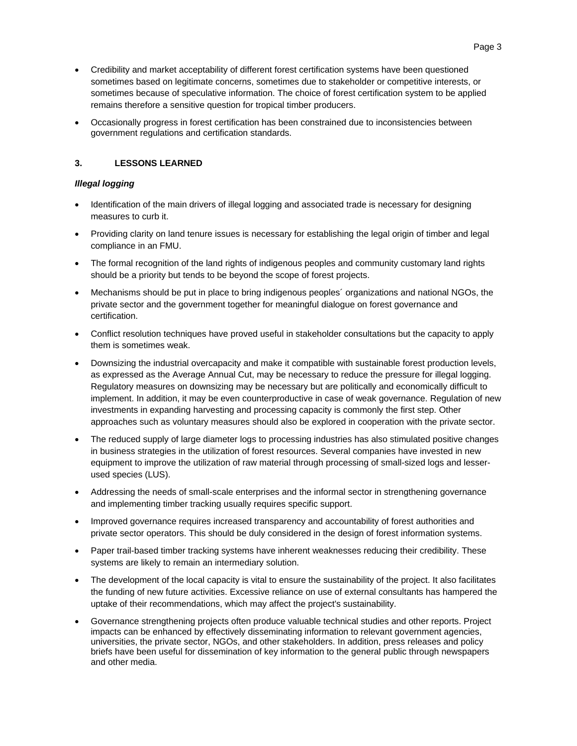- Credibility and market acceptability of different forest certification systems have been questioned sometimes based on legitimate concerns, sometimes due to stakeholder or competitive interests, or sometimes because of speculative information. The choice of forest certification system to be applied remains therefore a sensitive question for tropical timber producers.
- Occasionally progress in forest certification has been constrained due to inconsistencies between government regulations and certification standards.

# **3. LESSONS LEARNED**

### *Illegal logging*

- Identification of the main drivers of illegal logging and associated trade is necessary for designing measures to curb it.
- Providing clarity on land tenure issues is necessary for establishing the legal origin of timber and legal compliance in an FMU.
- The formal recognition of the land rights of indigenous peoples and community customary land rights should be a priority but tends to be beyond the scope of forest projects.
- Mechanisms should be put in place to bring indigenous peoples´ organizations and national NGOs, the private sector and the government together for meaningful dialogue on forest governance and certification.
- Conflict resolution techniques have proved useful in stakeholder consultations but the capacity to apply them is sometimes weak.
- Downsizing the industrial overcapacity and make it compatible with sustainable forest production levels, as expressed as the Average Annual Cut, may be necessary to reduce the pressure for illegal logging. Regulatory measures on downsizing may be necessary but are politically and economically difficult to implement. In addition, it may be even counterproductive in case of weak governance. Regulation of new investments in expanding harvesting and processing capacity is commonly the first step. Other approaches such as voluntary measures should also be explored in cooperation with the private sector.
- The reduced supply of large diameter logs to processing industries has also stimulated positive changes in business strategies in the utilization of forest resources. Several companies have invested in new equipment to improve the utilization of raw material through processing of small-sized logs and lesserused species (LUS).
- Addressing the needs of small-scale enterprises and the informal sector in strengthening governance and implementing timber tracking usually requires specific support.
- Improved governance requires increased transparency and accountability of forest authorities and private sector operators. This should be duly considered in the design of forest information systems.
- Paper trail-based timber tracking systems have inherent weaknesses reducing their credibility. These systems are likely to remain an intermediary solution.
- The development of the local capacity is vital to ensure the sustainability of the project. It also facilitates the funding of new future activities. Excessive reliance on use of external consultants has hampered the uptake of their recommendations, which may affect the project's sustainability.
- Governance strengthening projects often produce valuable technical studies and other reports. Project impacts can be enhanced by effectively disseminating information to relevant government agencies, universities, the private sector, NGOs, and other stakeholders. In addition, press releases and policy briefs have been useful for dissemination of key information to the general public through newspapers and other media.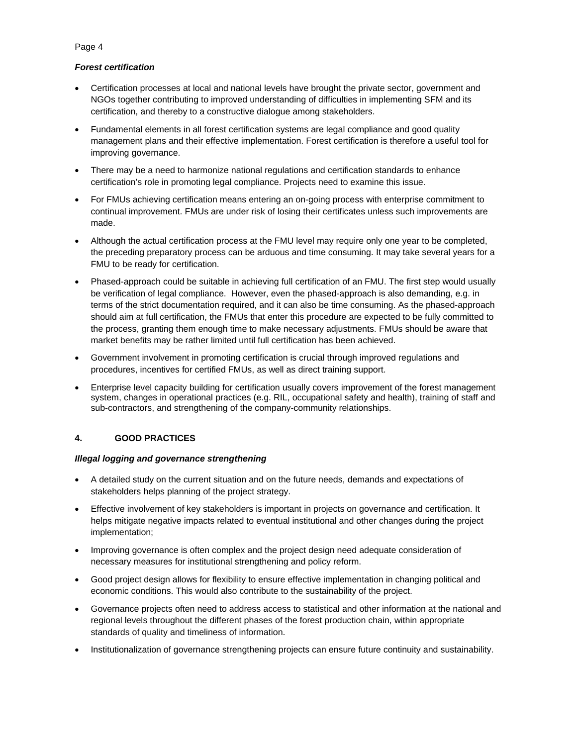## *Forest certification*

- Certification processes at local and national levels have brought the private sector, government and NGOs together contributing to improved understanding of difficulties in implementing SFM and its certification, and thereby to a constructive dialogue among stakeholders.
- Fundamental elements in all forest certification systems are legal compliance and good quality management plans and their effective implementation. Forest certification is therefore a useful tool for improving governance.
- There may be a need to harmonize national regulations and certification standards to enhance certification's role in promoting legal compliance. Projects need to examine this issue.
- For FMUs achieving certification means entering an on-going process with enterprise commitment to continual improvement. FMUs are under risk of losing their certificates unless such improvements are made.
- Although the actual certification process at the FMU level may require only one year to be completed, the preceding preparatory process can be arduous and time consuming. It may take several years for a FMU to be ready for certification.
- Phased-approach could be suitable in achieving full certification of an FMU. The first step would usually be verification of legal compliance. However, even the phased-approach is also demanding, e.g. in terms of the strict documentation required, and it can also be time consuming. As the phased-approach should aim at full certification, the FMUs that enter this procedure are expected to be fully committed to the process, granting them enough time to make necessary adjustments. FMUs should be aware that market benefits may be rather limited until full certification has been achieved.
- Government involvement in promoting certification is crucial through improved regulations and procedures, incentives for certified FMUs, as well as direct training support.
- Enterprise level capacity building for certification usually covers improvement of the forest management system, changes in operational practices (e.g. RIL, occupational safety and health), training of staff and sub-contractors, and strengthening of the company-community relationships.

# **4. GOOD PRACTICES**

## *Illegal logging and governance strengthening*

- A detailed study on the current situation and on the future needs, demands and expectations of stakeholders helps planning of the project strategy.
- Effective involvement of key stakeholders is important in projects on governance and certification. It helps mitigate negative impacts related to eventual institutional and other changes during the project implementation;
- Improving governance is often complex and the project design need adequate consideration of necessary measures for institutional strengthening and policy reform.
- Good project design allows for flexibility to ensure effective implementation in changing political and economic conditions. This would also contribute to the sustainability of the project.
- Governance projects often need to address access to statistical and other information at the national and regional levels throughout the different phases of the forest production chain, within appropriate standards of quality and timeliness of information.
- Institutionalization of governance strengthening projects can ensure future continuity and sustainability.

## Page 4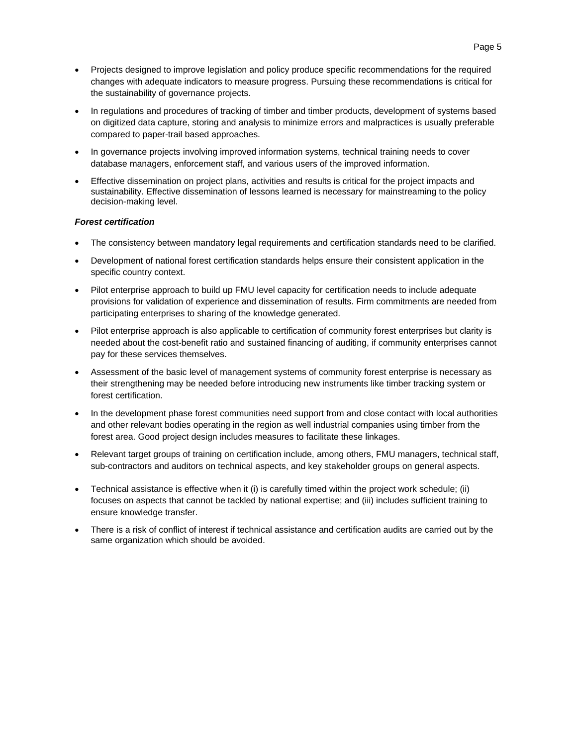- Projects designed to improve legislation and policy produce specific recommendations for the required changes with adequate indicators to measure progress. Pursuing these recommendations is critical for the sustainability of governance projects.
- In regulations and procedures of tracking of timber and timber products, development of systems based on digitized data capture, storing and analysis to minimize errors and malpractices is usually preferable compared to paper-trail based approaches.
- In governance projects involving improved information systems, technical training needs to cover database managers, enforcement staff, and various users of the improved information.
- Effective dissemination on project plans, activities and results is critical for the project impacts and sustainability. Effective dissemination of lessons learned is necessary for mainstreaming to the policy decision-making level.

#### *Forest certification*

- The consistency between mandatory legal requirements and certification standards need to be clarified.
- Development of national forest certification standards helps ensure their consistent application in the specific country context.
- Pilot enterprise approach to build up FMU level capacity for certification needs to include adequate provisions for validation of experience and dissemination of results. Firm commitments are needed from participating enterprises to sharing of the knowledge generated.
- Pilot enterprise approach is also applicable to certification of community forest enterprises but clarity is needed about the cost-benefit ratio and sustained financing of auditing, if community enterprises cannot pay for these services themselves.
- Assessment of the basic level of management systems of community forest enterprise is necessary as their strengthening may be needed before introducing new instruments like timber tracking system or forest certification.
- In the development phase forest communities need support from and close contact with local authorities and other relevant bodies operating in the region as well industrial companies using timber from the forest area. Good project design includes measures to facilitate these linkages.
- Relevant target groups of training on certification include, among others, FMU managers, technical staff, sub-contractors and auditors on technical aspects, and key stakeholder groups on general aspects.
- Technical assistance is effective when it (i) is carefully timed within the project work schedule; (ii) focuses on aspects that cannot be tackled by national expertise; and (iii) includes sufficient training to ensure knowledge transfer.
- There is a risk of conflict of interest if technical assistance and certification audits are carried out by the same organization which should be avoided.